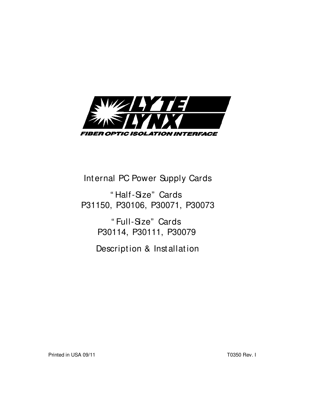

Int ernal PC Power Supply Cards

 " Half-Size" Cards P31150, P30106, P30071, P30073

> " Full-Size" Cards P30114, P30111, P30079

Descript ion & Installat ion

Printed in USA 09/11 **T0350 Rev. I**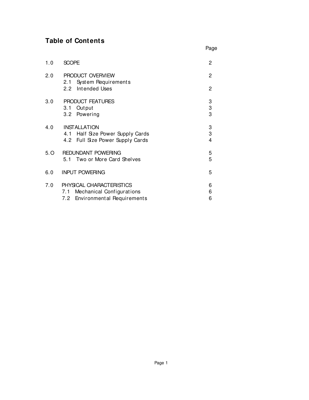# **Table of Contents**

*Page* **Page** 

| 1.0 | SCOPE                                          | $\overline{c}$ |
|-----|------------------------------------------------|----------------|
| 2.0 | PRODUCT OVERVIEW<br>System Requirements<br>2.1 | 2              |
|     | Intended Uses<br>2.2                           | 2              |
| 3.0 | PRODUCT FEATURES                               | 3              |
|     | Output<br>3.1<br>Powering<br>3.2               | 3<br>3         |
| 4.0 | <b>INSTALLATION</b>                            | 3              |
|     | Half Size Power Supply Cards<br>4.1            | 3              |
|     | Full Size Power Supply Cards<br>4.2            | 4              |
| 5.0 | <b>REDUNDANT POWERING</b>                      | 5              |
|     | Two or More Card Shelves<br>5.1                | 5              |
| 6.0 | <b>INPUT POWERING</b>                          | 5              |
| 7.0 | PHYSICAL CHARACTERISTICS                       | 6              |
|     | Mechanical Configurations<br>7.1               | 6              |
|     | Environmental Requirements<br>7.2              | 6              |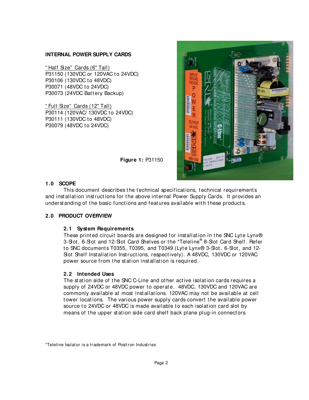#### **INTERNAL POWER SUPPLY CARDS**

" Half Size" Cards (6" Tall) P31150 (130VDC or 120VAC to 24VDC) P30106 (130VDC to 48VDC) P30071 (48VDC to 24VDC) P30073 (24VDC Battery Backup)

" Full Size" Cards (12" Tall) P30114 (120VAC/ 130VDC to 24VDC) P30111 (130VDC to 48VDC) P30079 (48VDC to 24VDC)



**Figure 1:** P31150

# **1.0 SCOPE**

This document describes the technical specifications, technical requirements and installation instructions for the above internal Power Supply Cards. It provides an underst anding of the basic functions and features available with these products.

# **2.0 PRODUCT OVERVIEW**

# **2.1 System Requirements**

These printed circuit boards are designed for installation in the SNC Lyte Lynx® 3-Slot, 6-Slot and 12-Slot Card Shelves or the \*Teleline® 8-Slot Card Shelf. Refer to SNC documents T0355, T0395, and T0349 (Lyte Lynx® 3-Slot, 6-Slot, and 12-Slot Shelf Installation Instructions, respectively). A 48VDC, 130VDC or 120VAC power source from the station installation is required.

# **2.2 Intended Uses**

The station side of the SNC C-Line and other active isolation cards requires a supply of 24VDC or 48VDC power to operate. 48VDC, 130VDC and 120VAC are commonly available at most inst allat ions. 120VAC may not be available at cell tower locations. The various power supply cards convert the available power source to 24VDC or 48VDC is made available to each isolation card slot by means of the upper station side card shelf back plane plug-in connectors.

<sup>\*</sup>Teleline Isolat or is a trademark of Posit ron Industries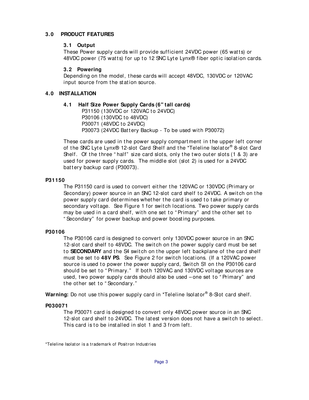#### **3.0 PRODUCT FEATURES**

#### **3.1 Output**

These Power supply cards will provide sufficient 24VDC power (65 watts) or 48VDC power (75 watts) for up to 12 SNC Lyte Lynx® fiber optic isolation cards.

#### **3.2 Powering**

Depending on t he model, t hese cards will accept 48VDC, 130VDC or 120VAC input source from the station source.

#### **4.0 INSTALLATION**

# **4.1 Half Size Power Supply Cards (6" tall cards)**

P31150 (130VDC or 120VAC to 24VDC) P30106 (130VDC to 48VDC) P30071 (48VDC to 24VDC) P30073 (24VDC Battery Backup - To be used with P30072)

These cards are used in the power supply compartment in the upper left corner of the SNC Lyte Lynx® 12-slot Card Shelf and the \*Teleline Isolator® 8-slot Card Shelf. Of the three "half" size card slots, only the two outer slots  $(1 \& 3)$  are used for power supply cards. The middle slot (slot 2) is used for a 24VDC battery backup card (P30073).

# **P31150**

The P31150 card is used to convert either the 120VAC or 130VDC (Primary or Secondary) power source in an SNC 12-slot card shelf to 24VDC. A switch on the power supply card determines whether the card is used to take primary or secondary voltage. See Figure 1 for switch locations. Two power supply cards may be used in a card shelf, with one set to "Primary" and the other set to " Secondary" for power backup and power boost ing purposes.

# **P30106**

The P30106 card is designed to convert only 130VDC power source in an SNC 12-slot card shelf to 48VDC. The switch on the power supply card must be set to **SECONDARY** and the S4 switch on the upper left backplane of the card shelf must be set to 48V PS. See Figure 2 for switch locations. (If a 120VAC power source is used to power the power supply card, Switch S1 on the P30106 card should be set to "Primary." If both 120VAC and 130VDC voltage sources are used, two power supply cards should also be used – one set to "Primary" and the other set to "Secondary."

**Warning:** Do not use this power supply card in \*Teleline Isolator® 8-Slot card shelf.

# **P030071**

The P30071 card is designed to convert only 48VDC power source in an SNC 12-slot card shelf to 24VDC. The latest version does not have a switch to select. This card is to be installed in slot 1 and 3 from left.

\*Teleline Isolat or is a trademark of Posit ron Industries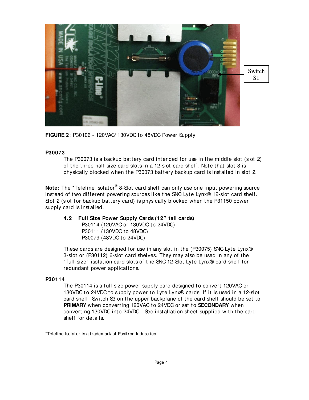

**FIGURE 2**: P30106 - 120VAC/ 130VDC to 48VDC Power Supply

#### **P30073**

The P30073 is a backup battery card intended for use in the middle slot (slot  $2$ ) of the three half size card slots in a 12-slot card shelf. Note that slot 3 is physically blocked when the P30073 battery backup card is installed in slot 2.

**Note:** The \*Teleline Isolator® 8-Slot card shelf can only use one input powering source instead of two different powering sources like the SNC Lyte Lynx® 12-slot card shelf. Slot 2 (slot for backup battery card) is physically blocked when the P31150 power supply card is inst alled.

# **4.2 Full Size Power Supply Cards (12" tall cards)**

P30114 (120VAC or 130VDC to 24VDC) P30111 (130VDC to 48VDC) P30079 (48VDC to 24VDC)

These cards are designed for use in any slot in the (P30075) SNC Lyte Lynx® 3-slot or (P30112) 6-slot card shelves. They may also be used in any of the "full-size" isolation card slots of the SNC 12-Slot Lyte Lynx® card shelf for redundant power applications.

# **P30114**

The P30114 is a full size power supply card designed to convert 120VAC or 130VDC to 24VDC to supply power to Lyte Lynx® cards. If it is used in a 12-slot card shelf, Switch S3 on the upper backplane of the card shelf should be set to **PRIMARY** when converting 120VAC to 24VDC or set to **SECONDARY** when converting 130VDC into 24VDC. See installation sheet supplied with the card shelf for det ails.

\*Teleline Isolat or is a trademark of Posit ron Industries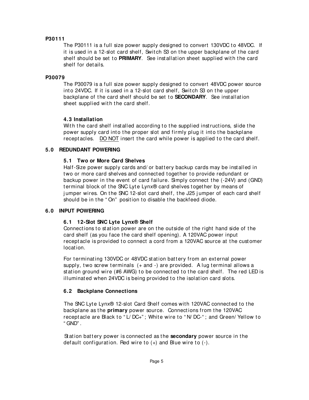#### **P30111**

The P30111 is a full size power supply designed to convert 130VDC to 48VDC. If it is used in a 12-slot card shelf, Switch S3 on the upper backplane of the card shelf should be set to **PRIMARY**. See installation sheet supplied with the card shelf for det ails.

#### **P30079**

The P30079 is a full size power supply designed to convert 48VDC power source into 24VDC. If it is used in a 12-slot card shelf, Switch S3 on the upper backplane of the card shelf should be set to **SECONDARY**. See installation sheet supplied with the card shelf.

# **4.3 Installation**

With the card shelf installed according to the supplied instructions, slide the power supply card into the proper slot and firmly plug it into the backplane recept acles. DO NOT insert the card while power is applied to the card shelf.

# **5.0 REDUNDANT POWERING**

# **5.1 Two or More Card Shelves**

Half-Size power supply cards and/ or battery backup cards may be installed in two or more card shelves and connected together to provide redundant or backup power in the event of card failure. Simply connect the (-24V) and (GND) terminal block of the SNC Lyte Lynx® card shelves together by means of jumper wires. On the SNC 12-slot card shelf, the J25 jumper of each card shelf should be in the "On" position to disable the backfeed diode.

# **6.0 INPUT POWERING**

# **6.1 12-Slot SNC Lyte Lynx® Shelf**

Connections to station power are on the outside of the right hand side of the card shelf (as you face t he card shelf opening). A 120VAC power input recept acle is provided to connect a cord from a 120VAC source at the customer locat ion.

For terminating 130VDC or 48VDC station battery from an external power supply, two screw terminals  $(+$  and  $-)$  are provided. Alug terminal allows a station ground wire (#6 AWG) to be connected to the card shelf. The red LED is illuminated when 24VDC is being provided to the isolation card slots.

# **6.2 Backplane Connections**

The SNC Lyte Lynx® 12-slot Card Shelf comes with 120VAC connected to the backplane as the **primary** power source. Connections from the 120VAC recept acle are Black to "L/DC+"; White wire to "N/DC-"; and Green/ Yellow to " GND" .

St at ion battery power is connected as the **secondary** power source in the default configuration. Red wire to  $(+)$  and Blue wire to  $(-)$ .